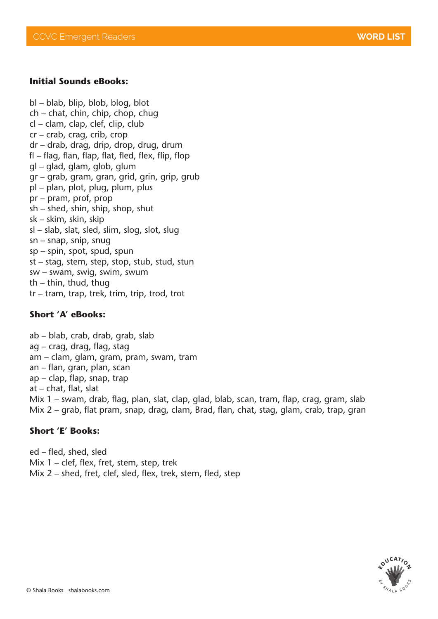#### **Initial Sounds eBooks:**

bl – blab, blip, blob, blog, blot ch – chat, chin, chip, chop, chug cl – clam, clap, clef, clip, club cr – crab, crag, crib, crop dr – drab, drag, drip, drop, drug, drum fl – flag, flan, flap, flat, fled, flex, flip, flop gl – glad, glam, glob, glum gr – grab, gram, gran, grid, grin, grip, grub pl – plan, plot, plug, plum, plus pr – pram, prof, prop sh – shed, shin, ship, shop, shut sk – skim, skin, skip sl – slab, slat, sled, slim, slog, slot, slug sn – snap, snip, snug sp – spin, spot, spud, spun st – stag, stem, step, stop, stub, stud, stun sw – swam, swig, swim, swum th – thin, thud, thug tr – tram, trap, trek, trim, trip, trod, trot

#### **Short 'A' eBooks:**

ab – blab, crab, drab, grab, slab ag – crag, drag, flag, stag am – clam, glam, gram, pram, swam, tram an – flan, gran, plan, scan ap – clap, flap, snap, trap at – chat, flat, slat Mix 1 – swam, drab, flag, plan, slat, clap, glad, blab, scan, tram, flap, crag, gram, slab Mix 2 – grab, flat pram, snap, drag, clam, Brad, flan, chat, stag, glam, crab, trap, gran

#### **Short 'E' Books:**

ed – fled, shed, sled Mix 1 – clef, flex, fret, stem, step, trek Mix 2 – shed, fret, clef, sled, flex, trek, stem, fled, step

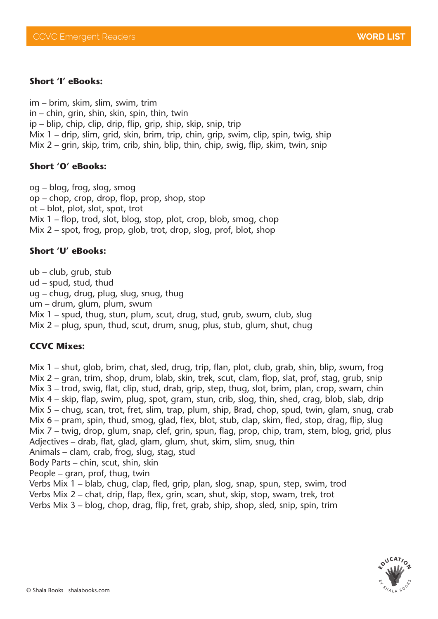### **Short 'I' eBooks:**

im – brim, skim, slim, swim, trim in – chin, grin, shin, skin, spin, thin, twin ip – blip, chip, clip, drip, flip, grip, ship, skip, snip, trip Mix 1 – drip, slim, grid, skin, brim, trip, chin, grip, swim, clip, spin, twig, ship Mix 2 – grin, skip, trim, crib, shin, blip, thin, chip, swig, flip, skim, twin, snip

### **Short 'O' eBooks:**

og – blog, frog, slog, smog op – chop, crop, drop, flop, prop, shop, stop ot – blot, plot, slot, spot, trot Mix 1 – flop, trod, slot, blog, stop, plot, crop, blob, smog, chop Mix 2 – spot, frog, prop, glob, trot, drop, slog, prof, blot, shop

### **Short 'U' eBooks:**

ub – club, grub, stub

ud – spud, stud, thud

ug – chug, drug, plug, slug, snug, thug

um – drum, glum, plum, swum

Mix 1 – spud, thug, stun, plum, scut, drug, stud, grub, swum, club, slug

Mix 2 – plug, spun, thud, scut, drum, snug, plus, stub, glum, shut, chug

# **CCVC Mixes:**

Mix 1 – shut, glob, brim, chat, sled, drug, trip, flan, plot, club, grab, shin, blip, swum, frog Mix 2 – gran, trim, shop, drum, blab, skin, trek, scut, clam, flop, slat, prof, stag, grub, snip Mix 3 – trod, swig, flat, clip, stud, drab, grip, step, thug, slot, brim, plan, crop, swam, chin Mix 4 – skip, flap, swim, plug, spot, gram, stun, crib, slog, thin, shed, crag, blob, slab, drip Mix 5 – chug, scan, trot, fret, slim, trap, plum, ship, Brad, chop, spud, twin, glam, snug, crab Mix 6 – pram, spin, thud, smog, glad, flex, blot, stub, clap, skim, fled, stop, drag, flip, slug Mix 7 – twig, drop, glum, snap, clef, grin, spun, flag, prop, chip, tram, stem, blog, grid, plus Adjectives – drab, flat, glad, glam, glum, shut, skim, slim, snug, thin

Animals – clam, crab, frog, slug, stag, stud

Body Parts – chin, scut, shin, skin

People – gran, prof, thug, twin

Verbs Mix 1 – blab, chug, clap, fled, grip, plan, slog, snap, spun, step, swim, trod

Verbs Mix 2 – chat, drip, flap, flex, grin, scan, shut, skip, stop, swam, trek, trot

Verbs Mix 3 – blog, chop, drag, flip, fret, grab, ship, shop, sled, snip, spin, trim